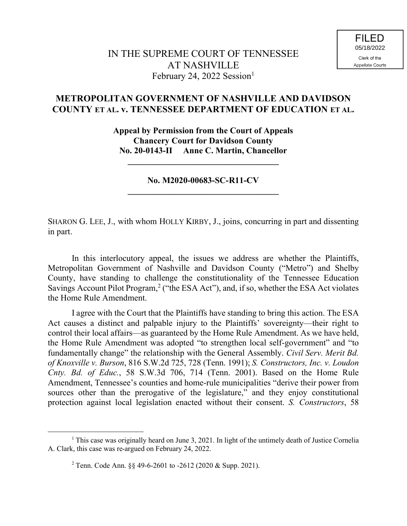## **METROPOLITAN GOVERNMENT OF NASHVILLE AND DAVIDSON COUNTY ET AL. v. TENNESSEE DEPARTMENT OF EDUCATION ET AL.**

**Appeal by Permission from the Court of Appeals Chancery Court for Davidson County No. 20-0143-II Anne C. Martin, Chancellor**

**No. M2020-00683-SC-R11-CV \_\_\_\_\_\_\_\_\_\_\_\_\_\_\_\_\_\_\_\_\_\_\_\_\_\_\_\_\_\_\_\_\_\_\_**

**\_\_\_\_\_\_\_\_\_\_\_\_\_\_\_\_\_\_\_\_\_\_\_\_\_\_\_\_\_\_\_\_\_\_\_**

SHARON G. LEE, J., with whom HOLLY KIRBY, J., joins, concurring in part and dissenting in part.

In this interlocutory appeal, the issues we address are whether the Plaintiffs, Metropolitan Government of Nashville and Davidson County ("Metro") and Shelby County, have standing to challenge the constitutionality of the Tennessee Education Savings Account Pilot Program,<sup>2</sup> ("the ESA Act"), and, if so, whether the ESA Act violates the Home Rule Amendment.

I agree with the Court that the Plaintiffs have standing to bring this action. The ESA Act causes a distinct and palpable injury to the Plaintiffs' sovereignty—their right to control their local affairs—as guaranteed by the Home Rule Amendment. As we have held, the Home Rule Amendment was adopted "to strengthen local self-government" and "to fundamentally change" the relationship with the General Assembly. *Civil Serv. Merit Bd. of Knoxville v. Burson*, 816 S.W.2d 725, 728 (Tenn. 1991); *S. Constructors, Inc. v. Loudon Cnty. Bd. of Educ.*, 58 S.W.3d 706, 714 (Tenn. 2001). Based on the Home Rule Amendment, Tennessee's counties and home-rule municipalities "derive their power from sources other than the prerogative of the legislature," and they enjoy constitutional protection against local legislation enacted without their consent. *S. Constructors*, 58

<sup>&</sup>lt;sup>1</sup> This case was originally heard on June 3, 2021. In light of the untimely death of Justice Cornelia A. Clark, this case was re-argued on February 24, 2022.

<sup>&</sup>lt;sup>2</sup> Tenn. Code Ann. §§ 49-6-2601 to  $-2612$  (2020 & Supp. 2021).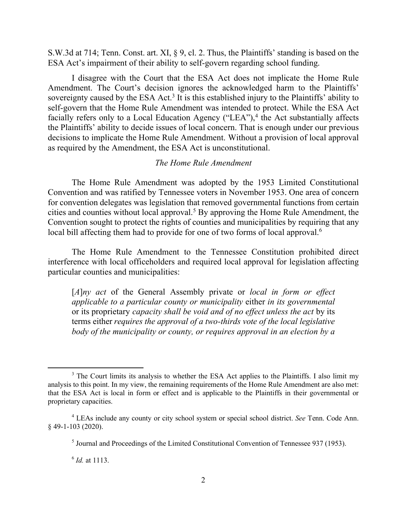S.W.3d at 714; Tenn. Const. art. XI, § 9, cl. 2. Thus, the Plaintiffs' standing is based on the ESA Act's impairment of their ability to self-govern regarding school funding.

I disagree with the Court that the ESA Act does not implicate the Home Rule Amendment. The Court's decision ignores the acknowledged harm to the Plaintiffs' sovereignty caused by the ESA Act.<sup>3</sup> It is this established injury to the Plaintiffs' ability to self-govern that the Home Rule Amendment was intended to protect. While the ESA Act facially refers only to a Local Education Agency ("LEA"),<sup>4</sup> the Act substantially affects the Plaintiffs' ability to decide issues of local concern. That is enough under our previous decisions to implicate the Home Rule Amendment. Without a provision of local approval as required by the Amendment, the ESA Act is unconstitutional.

## *The Home Rule Amendment*

The Home Rule Amendment was adopted by the 1953 Limited Constitutional Convention and was ratified by Tennessee voters in November 1953. One area of concern for convention delegates was legislation that removed governmental functions from certain cities and counties without local approval.<sup>5</sup> By approving the Home Rule Amendment, the Convention sought to protect the rights of counties and municipalities by requiring that any local bill affecting them had to provide for one of two forms of local approval.<sup>6</sup>

The Home Rule Amendment to the Tennessee Constitution prohibited direct interference with local officeholders and required local approval for legislation affecting particular counties and municipalities:

[*A*]*ny act* of the General Assembly private or *local in form or effect applicable to a particular county or municipality* either *in its governmental* or its proprietary *capacity shall be void and of no effect unless the act* by its terms either *requires the approval of a two-thirds vote of the local legislative body of the municipality or county, or requires approval in an election by a* 

6 *Id.* at 1113.

<sup>&</sup>lt;sup>3</sup> The Court limits its analysis to whether the ESA Act applies to the Plaintiffs. I also limit my analysis to this point. In my view, the remaining requirements of the Home Rule Amendment are also met: that the ESA Act is local in form or effect and is applicable to the Plaintiffs in their governmental or proprietary capacities.

<sup>4</sup> LEAs include any county or city school system or special school district. *See* Tenn. Code Ann. § 49-1-103 (2020).

<sup>&</sup>lt;sup>5</sup> Journal and Proceedings of the Limited Constitutional Convention of Tennessee 937 (1953).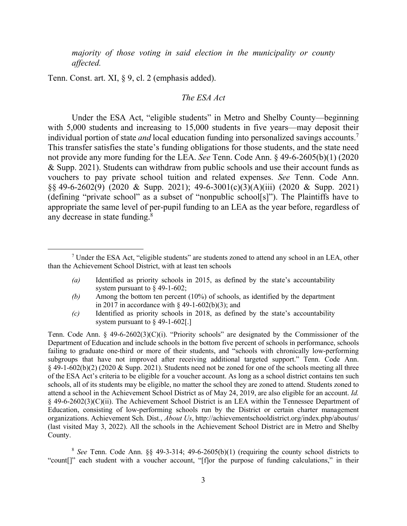*majority of those voting in said election in the municipality or county affected.*

Tenn. Const. art. XI, § 9, cl. 2 (emphasis added).

l

## *The ESA Act*

Under the ESA Act, "eligible students" in Metro and Shelby County—beginning with 5,000 students and increasing to 15,000 students in five years—may deposit their individual portion of state *and* local education funding into personalized savings accounts.<sup>7</sup> This transfer satisfies the state's funding obligations for those students, and the state need not provide any more funding for the LEA. *See* Tenn. Code Ann. § 49-6-2605(b)(1) (2020 & Supp. 2021). Students can withdraw from public schools and use their account funds as vouchers to pay private school tuition and related expenses. *See* Tenn. Code Ann.  $\S$ § 49-6-2602(9) (2020 & Supp. 2021); 49-6-3001(c)(3)(A)(iii) (2020 & Supp. 2021) (defining "private school" as a subset of "nonpublic school[s]"). The Plaintiffs have to appropriate the same level of per-pupil funding to an LEA as the year before, regardless of any decrease in state funding.<sup>8</sup>

- *(a)* Identified as priority schools in 2015, as defined by the state's accountability system pursuant to § 49-1-602;
- *(b)* Among the bottom ten percent (10%) of schools, as identified by the department in 2017 in accordance with  $\S$  49-1-602(b)(3); and
- *(c)* Identified as priority schools in 2018, as defined by the state's accountability system pursuant to § 49-1-602[.]

Tenn. Code Ann.  $\S$  49-6-2602(3)(C)(i). "Priority schools" are designated by the Commissioner of the Department of Education and include schools in the bottom five percent of schools in performance, schools failing to graduate one-third or more of their students, and "schools with chronically low-performing subgroups that have not improved after receiving additional targeted support." Tenn. Code Ann.  $§$  49-1-602(b)(2) (2020 & Supp. 2021). Students need not be zoned for one of the schools meeting all three of the ESA Act's criteria to be eligible for a voucher account. As long as a school district contains ten such schools, all of its students may be eligible, no matter the school they are zoned to attend. Students zoned to attend a school in the Achievement School District as of May 24, 2019, are also eligible for an account. *Id.* § 49-6-2602(3)(C)(ii). The Achievement School District is an LEA within the Tennessee Department of Education, consisting of low-performing schools run by the District or certain charter management organizations. Achievement Sch. Dist., *About Us*, http://achievementschooldistrict.org/index.php/aboutus/ (last visited May 3, 2022). All the schools in the Achievement School District are in Metro and Shelby County.

<sup>8</sup> See Tenn. Code Ann.  $\S\S$  49-3-314; 49-6-2605(b)(1) (requiring the county school districts to "count[]" each student with a voucher account, "[f]or the purpose of funding calculations," in their

<sup>&</sup>lt;sup>7</sup> Under the ESA Act, "eligible students" are students zoned to attend any school in an LEA, other than the Achievement School District, with at least ten schools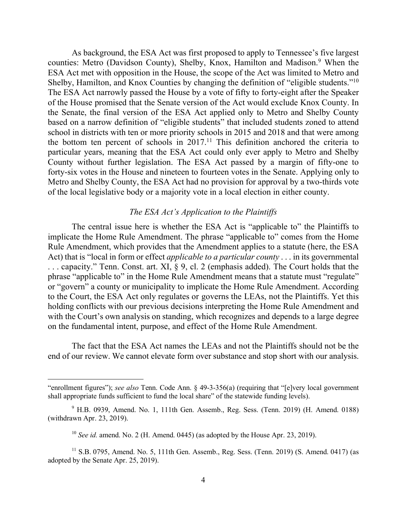As background, the ESA Act was first proposed to apply to Tennessee's five largest counties: Metro (Davidson County), Shelby, Knox, Hamilton and Madison.<sup>9</sup> When the ESA Act met with opposition in the House, the scope of the Act was limited to Metro and Shelby, Hamilton, and Knox Counties by changing the definition of "eligible students."<sup>10</sup> The ESA Act narrowly passed the House by a vote of fifty to forty-eight after the Speaker of the House promised that the Senate version of the Act would exclude Knox County. In the Senate, the final version of the ESA Act applied only to Metro and Shelby County based on a narrow definition of "eligible students" that included students zoned to attend school in districts with ten or more priority schools in 2015 and 2018 and that were among the bottom ten percent of schools in 2017.<sup>11</sup> This definition anchored the criteria to particular years, meaning that the ESA Act could only ever apply to Metro and Shelby County without further legislation. The ESA Act passed by a margin of fifty-one to forty-six votes in the House and nineteen to fourteen votes in the Senate. Applying only to Metro and Shelby County, the ESA Act had no provision for approval by a two-thirds vote of the local legislative body or a majority vote in a local election in either county.

## *The ESA Act's Application to the Plaintiffs*

The central issue here is whether the ESA Act is "applicable to" the Plaintiffs to implicate the Home Rule Amendment. The phrase "applicable to" comes from the Home Rule Amendment, which provides that the Amendment applies to a statute (here, the ESA Act) that is "local in form or effect *applicable to a particular county* . . . in its governmental . . . capacity." Tenn. Const. art. XI, § 9, cl. 2 (emphasis added). The Court holds that the phrase "applicable to" in the Home Rule Amendment means that a statute must "regulate" or "govern" a county or municipality to implicate the Home Rule Amendment. According to the Court, the ESA Act only regulates or governs the LEAs, not the Plaintiffs. Yet this holding conflicts with our previous decisions interpreting the Home Rule Amendment and with the Court's own analysis on standing, which recognizes and depends to a large degree on the fundamental intent, purpose, and effect of the Home Rule Amendment.

The fact that the ESA Act names the LEAs and not the Plaintiffs should not be the end of our review. We cannot elevate form over substance and stop short with our analysis.

<sup>&</sup>quot;enrollment figures"); *see also* Tenn. Code Ann. § 49-3-356(a) (requiring that "[e]very local government shall appropriate funds sufficient to fund the local share" of the statewide funding levels).

<sup>9</sup> H.B. 0939, Amend. No. 1, 111th Gen. Assemb., Reg. Sess. (Tenn. 2019) (H. Amend. 0188) (withdrawn Apr. 23, 2019).

<sup>&</sup>lt;sup>10</sup> *See id.* amend. No. 2 (H. Amend. 0445) (as adopted by the House Apr. 23, 2019).

 $11$  S.B. 0795, Amend. No. 5, 111th Gen. Assemb., Reg. Sess. (Tenn. 2019) (S. Amend. 0417) (as adopted by the Senate Apr. 25, 2019).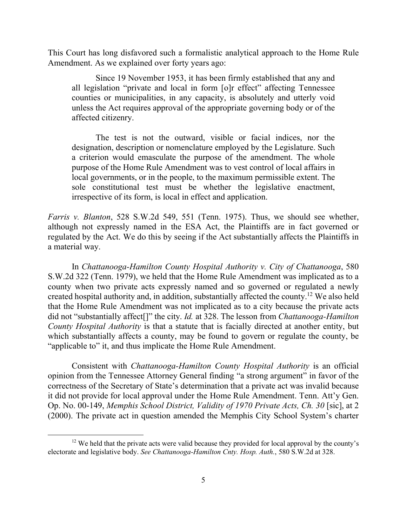This Court has long disfavored such a formalistic analytical approach to the Home Rule Amendment. As we explained over forty years ago:

Since 19 November 1953, it has been firmly established that any and all legislation "private and local in form [o]r effect" affecting Tennessee counties or municipalities, in any capacity, is absolutely and utterly void unless the Act requires approval of the appropriate governing body or of the affected citizenry.

The test is not the outward, visible or facial indices, nor the designation, description or nomenclature employed by the Legislature. Such a criterion would emasculate the purpose of the amendment. The whole purpose of the Home Rule Amendment was to vest control of local affairs in local governments, or in the people, to the maximum permissible extent. The sole constitutional test must be whether the legislative enactment, irrespective of its form, is local in effect and application.

*Farris v. Blanton*, 528 S.W.2d 549, 551 (Tenn. 1975). Thus, we should see whether, although not expressly named in the ESA Act, the Plaintiffs are in fact governed or regulated by the Act. We do this by seeing if the Act substantially affects the Plaintiffs in a material way.

In *Chattanooga-Hamilton County Hospital Authority v. City of Chattanooga*, 580 S.W.2d 322 (Tenn. 1979), we held that the Home Rule Amendment was implicated as to a county when two private acts expressly named and so governed or regulated a newly created hospital authority and, in addition, substantially affected the county.<sup>12</sup> We also held that the Home Rule Amendment was not implicated as to a city because the private acts did not "substantially affect[]" the city. *Id.* at 328. The lesson from *Chattanooga-Hamilton County Hospital Authority* is that a statute that is facially directed at another entity, but which substantially affects a county, may be found to govern or regulate the county, be "applicable to" it, and thus implicate the Home Rule Amendment.

Consistent with *Chattanooga-Hamilton County Hospital Authority* is an official opinion from the Tennessee Attorney General finding "a strong argument" in favor of the correctness of the Secretary of State's determination that a private act was invalid because it did not provide for local approval under the Home Rule Amendment. Tenn. Att'y Gen. Op. No. 00-149, *Memphis School District, Validity of 1970 Private Acts, Ch. 30* [sic], at 2 (2000). The private act in question amended the Memphis City School System's charter

 $12$  We held that the private acts were valid because they provided for local approval by the county's electorate and legislative body. *See Chattanooga-Hamilton Cnty. Hosp. Auth.*, 580 S.W.2d at 328.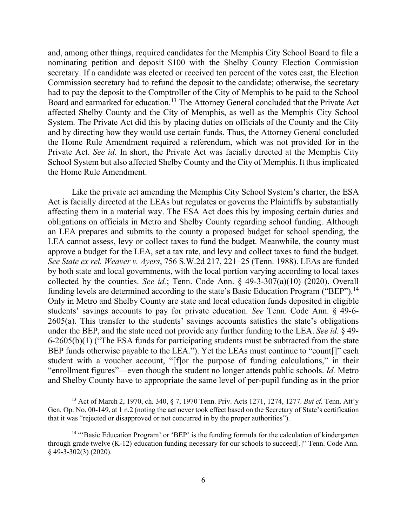and, among other things, required candidates for the Memphis City School Board to file a nominating petition and deposit \$100 with the Shelby County Election Commission secretary. If a candidate was elected or received ten percent of the votes cast, the Election Commission secretary had to refund the deposit to the candidate; otherwise, the secretary had to pay the deposit to the Comptroller of the City of Memphis to be paid to the School Board and earmarked for education. <sup>13</sup> The Attorney General concluded that the Private Act affected Shelby County and the City of Memphis, as well as the Memphis City School System. The Private Act did this by placing duties on officials of the County and the City and by directing how they would use certain funds. Thus, the Attorney General concluded the Home Rule Amendment required a referendum, which was not provided for in the Private Act. *See id.* In short, the Private Act was facially directed at the Memphis City School System but also affected Shelby County and the City of Memphis. It thus implicated the Home Rule Amendment.

Like the private act amending the Memphis City School System's charter, the ESA Act is facially directed at the LEAs but regulates or governs the Plaintiffs by substantially affecting them in a material way. The ESA Act does this by imposing certain duties and obligations on officials in Metro and Shelby County regarding school funding. Although an LEA prepares and submits to the county a proposed budget for school spending, the LEA cannot assess, levy or collect taxes to fund the budget. Meanwhile, the county must approve a budget for the LEA, set a tax rate, and levy and collect taxes to fund the budget. *See State ex rel. Weaver v. Ayers*, 756 S.W.2d 217, 221–25 (Tenn. 1988). LEAs are funded by both state and local governments, with the local portion varying according to local taxes collected by the counties. *See id.*; Tenn. Code Ann. § 49-3-307(a)(10) (2020). Overall funding levels are determined according to the state's Basic Education Program ("BEP").<sup>14</sup> Only in Metro and Shelby County are state and local education funds deposited in eligible students' savings accounts to pay for private education. *See* Tenn. Code Ann. § 49-6- 2605(a). This transfer to the students' savings accounts satisfies the state's obligations under the BEP, and the state need not provide any further funding to the LEA. *See id.* § 49- 6-2605(b)(1) ("The ESA funds for participating students must be subtracted from the state BEP funds otherwise payable to the LEA."). Yet the LEAs must continue to "count[]" each student with a voucher account, "[f]or the purpose of funding calculations," in their "enrollment figures"—even though the student no longer attends public schools. *Id.* Metro and Shelby County have to appropriate the same level of per-pupil funding as in the prior

<sup>13</sup> Act of March 2, 1970, ch. 340, § 7, 1970 Tenn. Priv. Acts 1271, 1274, 1277. *But cf.* Tenn. Att'y Gen. Op. No. 00-149, at 1 n.2 (noting the act never took effect based on the Secretary of State's certification that it was "rejected or disapproved or not concurred in by the proper authorities").

<sup>&</sup>lt;sup>14</sup> "'Basic Education Program' or 'BEP' is the funding formula for the calculation of kindergarten through grade twelve (K-12) education funding necessary for our schools to succeed[.]" Tenn. Code Ann. § 49-3-302(3) (2020).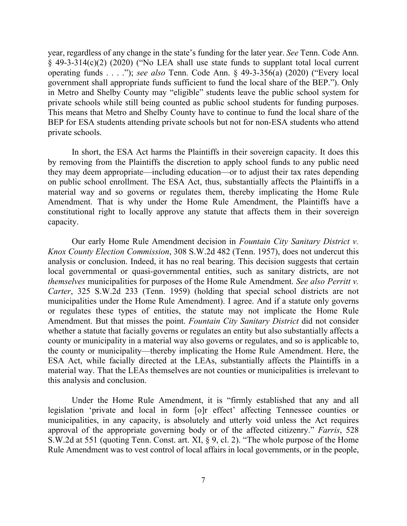year, regardless of any change in the state's funding for the later year. *See* Tenn. Code Ann. § 49-3-314(c)(2) (2020) ("No LEA shall use state funds to supplant total local current operating funds . . . ."); *see also* Tenn. Code Ann. § 49-3-356(a) (2020) ("Every local government shall appropriate funds sufficient to fund the local share of the BEP."). Only in Metro and Shelby County may "eligible" students leave the public school system for private schools while still being counted as public school students for funding purposes. This means that Metro and Shelby County have to continue to fund the local share of the BEP for ESA students attending private schools but not for non-ESA students who attend private schools.

In short, the ESA Act harms the Plaintiffs in their sovereign capacity. It does this by removing from the Plaintiffs the discretion to apply school funds to any public need they may deem appropriate—including education—or to adjust their tax rates depending on public school enrollment. The ESA Act, thus, substantially affects the Plaintiffs in a material way and so governs or regulates them, thereby implicating the Home Rule Amendment. That is why under the Home Rule Amendment, the Plaintiffs have a constitutional right to locally approve any statute that affects them in their sovereign capacity.

Our early Home Rule Amendment decision in *Fountain City Sanitary District v. Knox County Election Commission*, 308 S.W.2d 482 (Tenn. 1957), does not undercut this analysis or conclusion. Indeed, it has no real bearing. This decision suggests that certain local governmental or quasi-governmental entities, such as sanitary districts, are not *themselves* municipalities for purposes of the Home Rule Amendment. *See also Perritt v. Carter*, 325 S.W.2d 233 (Tenn. 1959) (holding that special school districts are not municipalities under the Home Rule Amendment). I agree. And if a statute only governs or regulates these types of entities, the statute may not implicate the Home Rule Amendment. But that misses the point. *Fountain City Sanitary District* did not consider whether a statute that facially governs or regulates an entity but also substantially affects a county or municipality in a material way also governs or regulates, and so is applicable to, the county or municipality—thereby implicating the Home Rule Amendment. Here, the ESA Act, while facially directed at the LEAs, substantially affects the Plaintiffs in a material way. That the LEAs themselves are not counties or municipalities is irrelevant to this analysis and conclusion.

Under the Home Rule Amendment, it is "firmly established that any and all legislation 'private and local in form [o]r effect' affecting Tennessee counties or municipalities, in any capacity, is absolutely and utterly void unless the Act requires approval of the appropriate governing body or of the affected citizenry." *Farris*, 528 S.W.2d at 551 (quoting Tenn. Const. art. XI, § 9, cl. 2). "The whole purpose of the Home Rule Amendment was to vest control of local affairs in local governments, or in the people,